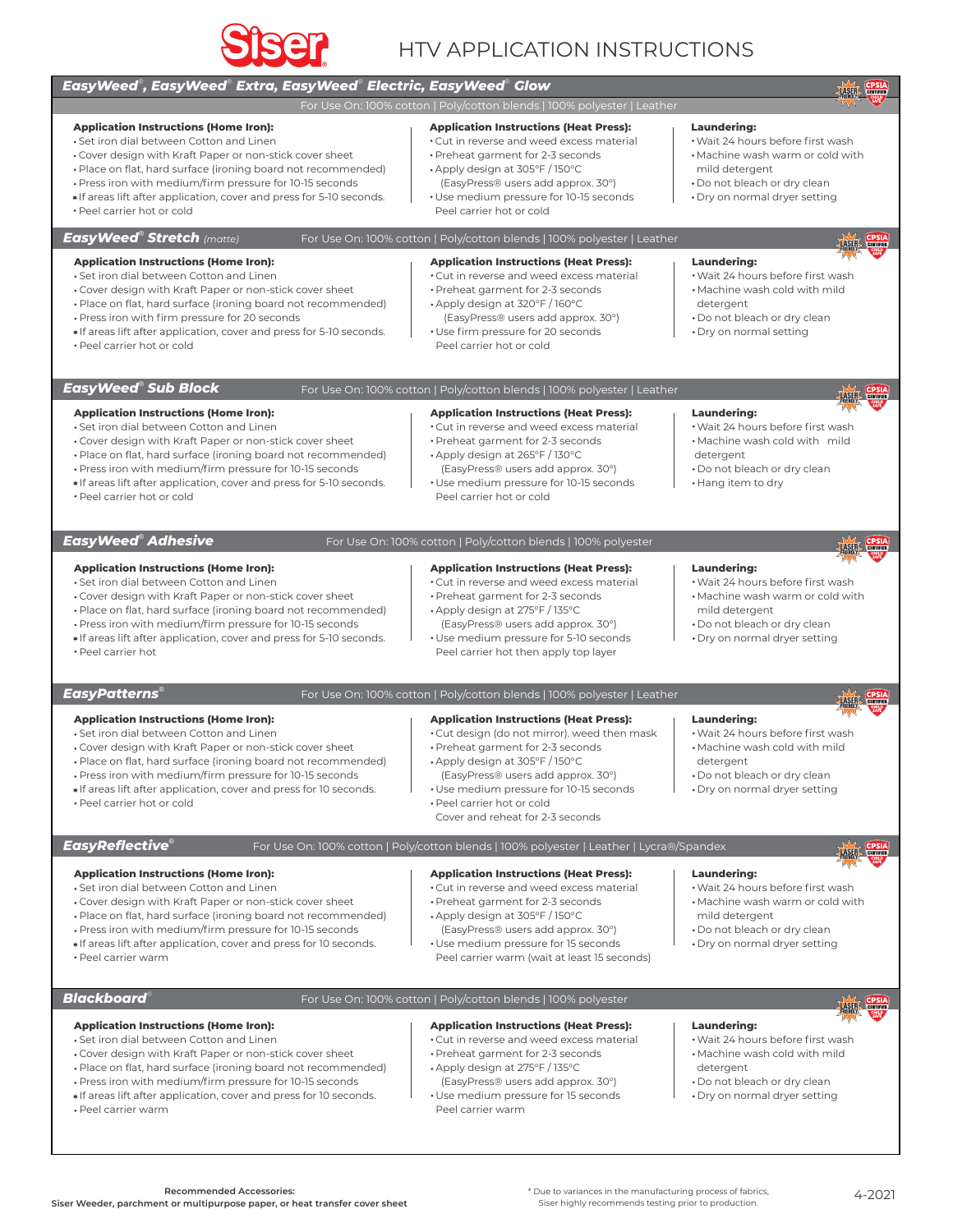

# HTV APPLICATION INSTRUCTIONS

| EasyWeed®, EasyWeed® Extra, EasyWeed® Electric, EasyWeed® Glow                                                                                                                                                                                                                                                                                                                         |                                                                                                                                                                                                                                                                                                                          | <b>CPSIA</b><br>LASER CERTIFIED                                                                                                                                                |
|----------------------------------------------------------------------------------------------------------------------------------------------------------------------------------------------------------------------------------------------------------------------------------------------------------------------------------------------------------------------------------------|--------------------------------------------------------------------------------------------------------------------------------------------------------------------------------------------------------------------------------------------------------------------------------------------------------------------------|--------------------------------------------------------------------------------------------------------------------------------------------------------------------------------|
|                                                                                                                                                                                                                                                                                                                                                                                        | For Use On: 100% cotton   Poly/cotton blends   100% polyester   Leather                                                                                                                                                                                                                                                  |                                                                                                                                                                                |
| <b>Application Instructions (Home Iron):</b><br>• Set iron dial between Cotton and Linen<br>. Cover design with Kraft Paper or non-stick cover sheet<br>• Place on flat, hard surface (ironing board not recommended)<br>. Press iron with medium/firm pressure for 10-15 seconds<br>*If areas lift after application, cover and press for 5-10 seconds.<br>• Peel carrier hot or cold | <b>Application Instructions (Heat Press):</b><br>• Cut in reverse and weed excess material<br>· Preheat garment for 2-3 seconds<br>• Apply design at 305°F / 150°C<br>(EasyPress® users add approx. 30°)<br>• Use medium pressure for 10-15 seconds<br>Peel carrier hot or cold                                          | <b>Laundering:</b><br>. Wait 24 hours before first wash<br>• Machine wash warm or cold with<br>mild detergent<br>• Do not bleach or dry clean<br>• Dry on normal dryer setting |
| EasyWeed® Stretch <sub>(matte)</sub><br>For Use On: 100% cotton   Poly/cotton blends   100% polyester   Leather                                                                                                                                                                                                                                                                        |                                                                                                                                                                                                                                                                                                                          |                                                                                                                                                                                |
| <b>Application Instructions (Home Iron):</b><br>. Set iron dial between Cotton and Linen<br>• Cover design with Kraft Paper or non-stick cover sheet<br>• Place on flat, hard surface (ironing board not recommended)<br>• Press iron with firm pressure for 20 seconds<br>* If areas lift after application, cover and press for 5-10 seconds.<br>• Peel carrier hot or cold          | <b>Application Instructions (Heat Press):</b><br>. Cut in reverse and weed excess material<br>• Preheat garment for 2-3 seconds<br>• Apply design at 320°F / 160°C<br>(EasyPress® users add approx. 30°)<br>• Use firm pressure for 20 seconds<br>Peel carrier hot or cold                                               | Laundering:<br>• Wait 24 hours before first wash<br>• Machine wash cold with mild<br>detergent<br>• Do not bleach or dry clean<br>· Dry on normal setting                      |
| EasyWeed® Sub Block                                                                                                                                                                                                                                                                                                                                                                    | For Use On: 100% cotton   Poly/cotton blends   100% polyester   Leather                                                                                                                                                                                                                                                  | <b>CPSIA</b>                                                                                                                                                                   |
| <b>Application Instructions (Home Iron):</b><br>• Set iron dial between Cotton and Linen<br>• Cover design with Kraft Paper or non-stick cover sheet<br>• Place on flat, hard surface (ironing board not recommended)<br>• Press iron with medium/firm pressure for 10-15 seconds<br>*If areas lift after application, cover and press for 5-10 seconds.<br>• Peel carrier hot or cold | <b>Application Instructions (Heat Press):</b><br>. Cut in reverse and weed excess material<br>• Preheat garment for 2-3 seconds<br>• Apply design at 265°F / 130°C<br>(EasyPress® users add approx. 30°)<br>• Use medium pressure for 10-15 seconds<br>Peel carrier hot or cold                                          | Laundering:<br>· Wait 24 hours before first wash<br>. Machine wash cold with mild<br>detergent<br>. Do not bleach or dry clean<br>• Hang item to dry                           |
| EasyWeed® Adhesive<br>For Use On: 100% cotton   Poly/cotton blends   100% polyester<br>CERTIFIED                                                                                                                                                                                                                                                                                       |                                                                                                                                                                                                                                                                                                                          |                                                                                                                                                                                |
| <b>Application Instructions (Home Iron):</b><br>• Set iron dial between Cotton and Linen<br>• Cover design with Kraft Paper or non-stick cover sheet<br>• Place on flat, hard surface (ironing board not recommended)<br>. Press iron with medium/firm pressure for 10-15 seconds<br>*If areas lift after application, cover and press for 5-10 seconds.<br>• Peel carrier hot         | <b>Application Instructions (Heat Press):</b><br>• Cut in reverse and weed excess material<br>• Preheat garment for 2-3 seconds<br>• Apply design at 275°F / 135°C<br>(EasyPress® users add approx. 30°)<br>• Use medium pressure for 5-10 seconds<br>Peel carrier hot then apply top layer                              | <b>Laundering:</b><br>• Wait 24 hours before first wash<br>• Machine wash warm or cold with<br>mild detergent<br>. Do not bleach or dry clean<br>· Dry on normal dryer setting |
| <b>EasyPatterns</b> ®<br>For Use On: 100% cotton   Poly/cotton blends   100% polyester   Leather                                                                                                                                                                                                                                                                                       |                                                                                                                                                                                                                                                                                                                          |                                                                                                                                                                                |
| <b>Application Instructions (Home Iron):</b><br>• Set iron dial between Cotton and Linen<br>• Cover design with Kraft Paper or non-stick cover sheet<br>· Place on flat, hard surface (ironing board not recommended)<br>• Press iron with medium/firm pressure for 10-15 seconds<br>*If areas lift after application, cover and press for 10 seconds.<br>• Peel carrier hot or cold   | <b>Application Instructions (Heat Press):</b><br>. Cut design (do not mirror). weed then mask<br>• Preheat garment for 2-3 seconds<br>• Apply design at 305°F / 150°C<br>(EasyPress® users add approx. 30°)<br>• Use medium pressure for 10-15 seconds<br>• Peel carrier hot or cold<br>Cover and reheat for 2-3 seconds | <b>Laundering:</b><br>. Wait 24 hours before first wash<br>• Machine wash cold with mild<br>detergent<br>· Do not bleach or dry clean<br>· Dry on normal dryer setting         |
| <b>EasyReflective®</b><br>For Use On: 100% cotton   Poly/cotton blends   100% polyester   Leather   Lycra®/Spandex<br>CERTIFIED                                                                                                                                                                                                                                                        |                                                                                                                                                                                                                                                                                                                          |                                                                                                                                                                                |
| <b>Application Instructions (Home Iron):</b><br>• Set iron dial between Cotton and Linen<br>• Cover design with Kraft Paper or non-stick cover sheet<br>• Place on flat, hard surface (ironing board not recommended)<br>. Press iron with medium/firm pressure for 10-15 seconds<br>*If areas lift after application, cover and press for 10 seconds.<br>· Peel carrier warm          | <b>Application Instructions (Heat Press):</b><br>*Cut in reverse and weed excess material<br>• Preheat garment for 2-3 seconds<br>• Apply design at 305°F / 150°C<br>(EasyPress® users add approx. 30°)<br>• Use medium pressure for 15 seconds<br>Peel carrier warm (wait at least 15 seconds)                          | <b>Laundering:</b><br>. Wait 24 hours before first wash<br>. Machine wash warm or cold with<br>mild detergent<br>• Do not bleach or dry clean<br>• Dry on normal dryer setting |
| Blackboard $^\circ$                                                                                                                                                                                                                                                                                                                                                                    | For Use On: 100% cotton   Poly/cotton blends   100% polyester                                                                                                                                                                                                                                                            | <b>SER CPSIA</b>                                                                                                                                                               |
| <b>Application Instructions (Home Iron):</b><br>• Set iron dial between Cotton and Linen<br>• Cover design with Kraft Paper or non-stick cover sheet<br>• Place on flat, hard surface (ironing board not recommended)<br>. Press iron with medium/firm pressure for 10-15 seconds<br>*If areas lift after application, cover and press for 10 seconds.<br>• Peel carrier warm          | <b>Application Instructions (Heat Press):</b><br>• Cut in reverse and weed excess material<br>• Preheat garment for 2-3 seconds<br>• Apply design at 275°F / 135°C<br>(EasyPress® users add approx. 30°)<br>• Use medium pressure for 15 seconds<br>Peel carrier warm                                                    | <b>Laundering:</b><br>• Wait 24 hours before first wash<br>• Machine wash cold with mild<br>detergent<br>• Do not bleach or dry clean<br>· Dry on normal dryer setting         |
|                                                                                                                                                                                                                                                                                                                                                                                        |                                                                                                                                                                                                                                                                                                                          |                                                                                                                                                                                |

**Recommended Accessories: Siser Weeder, parchment or multipurpose paper, or heat transfer cover sheet**